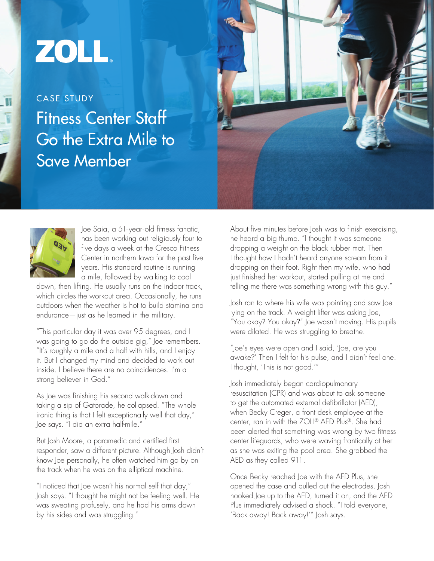## ZOLL.

Fitness Center Staff Go the Extra Mile to Save Member CASE STUDY





Joe Saia, a 51- year-old fitness fanatic, has been working out religiously four to five days a week at the Cresco Fitness Center in northern Iowa for the past five years. His standard routine is running a mile, followed by walking to cool

down, then lifting. He usually runs on the indoor track, which circles the workout area. Occasionally, he runs outdoors when the weather is hot to build stamina and endurance—just as he learned in the military.

"This particular day it was over 95 degrees, and I was going to go do the outside gig," Joe remembers. "It's roughly a mile and a half with hills, and I enjoy it. But I changed my mind and decided to work out inside. I believe there are no coincidences. I'm a strong believer in God."

As Joe was finishing his second walk-down and taking a sip of Gatorade, he collapsed. "The whole ironic thing is that I felt exceptionally well that day," Joe says. "I did an extra half-mile."

But Josh Moore, a paramedic and certified first responder, saw a different picture. Although Josh didn't know Joe personally, he often watched him go by on the track when he was on the elliptical machine.

"I noticed that Joe wasn't his normal self that day," Josh says. "I thought he might not be feeling well. He was sweating profusely, and he had his arms down by his sides and was struggling."

About five minutes before Josh was to finish exercising, he heard a big thump. "I thought it was someone dropping a weight on the black rubber mat. Then I thought how I hadn't heard anyone scream from it dropping on their foot. Right then my wife, who had just finished her workout, started pulling at me and telling me there was something wrong with this guy."

Josh ran to where his wife was pointing and saw Joe lying on the track. A weight lifter was asking Joe, "You okay? You okay?" Joe wasn't moving. His pupils were dilated. He was struggling to breathe.

"Joe's eyes were open and I said, 'Joe, are you awake?' Then I felt for his pulse, and I didn't feel one. I thought, 'This is not good.'"

Josh immediately began cardiopulmonary resuscitation (CPR) and was about to ask someone to get the automated external defibrillator (AED), when Becky Creger, a front desk employee at the center, ran in with the ZOLL® AED Plus®. She had been alerted that something was wrong by two fitness center lifeguards, who were waving frantically at her as she was exiting the pool area. She grabbed the AED as they called 911.

Once Becky reached Joe with the AED Plus, she opened the case and pulled out the electrodes. Josh hooked Joe up to the AED, turned it on, and the AED Plus immediately advised a shock. "I told everyone, 'Back away! Back away!'" Josh says.